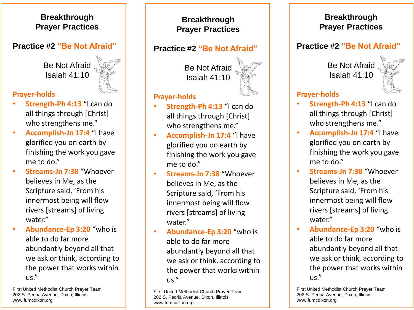#### **Breakthrough Prayer Practices**

#### **Practice #2 "Be Not Afraid"**

Be Not Afraid Isaiah 41:10



#### **Prayer-holds**

- **Strength-Ph 4:13** "I can do all things through [Christ] who strengthens me."
- **Accomplish-Jn 17:4** "I have glorified you on earth by finishing the work you gave me to do."
- **Streams-Jn 7:38** "Whoever believes in Me, as the Scripture said, 'From his innermost being will flow rivers [streams] of living water."
- **Abundance-Ep 3:20** "who is able to do far more abundantly beyond all that we ask or think, according to the power that works within us."

First United Methodist Church Prayer Team 202 S. Peoria Avenue, Dixon, Illinois www.fumcdixon.org

### **Breakthrough Prayer Practices**

#### **Practice #2 "Be Not Afraid"**

Be Not Afraid Isaiah 41:10

#### **Prayer-holds**

- **Strength-Ph 4:13** "I can do all things through [Christ] who strengthens me."
- **Accomplish-Jn 17:4** "I have glorified you on earth by finishing the work you gave me to do."
- **Streams-Jn 7:38** "Whoever believes in Me, as the Scripture said, 'From his innermost being will flow rivers [streams] of living water."
- **Abundance-Ep 3:20** "who is able to do far more abundantly beyond all that we ask or think, according to the power that works within us."

First United Methodist Church Prayer Team 202 S. Peoria Avenue, Dixon, Illinois www.fumcdixon.org

#### **Breakthrough Prayer Practices**

#### **Practice #2 "Be Not Afraid"**

Be Not Afraid Isaiah 41:10



#### **Prayer-holds**

- **Strength-Ph 4:13** "I can do all things through [Christ] who strengthens me."
- **Accomplish-Jn 17:4** "I have glorified you on earth by finishing the work you gave me to do."
- **Streams-Jn 7:38** "Whoever believes in Me, as the Scripture said, 'From his innermost being will flow rivers [streams] of living water."
- **Abundance-Ep 3:20** "who is able to do far more abundantly beyond all that we ask or think, according to the power that works within us."

First United Methodist Church Prayer Team 202 S. Peoria Avenue, Dixon, Illinois www.fumcdixon.org